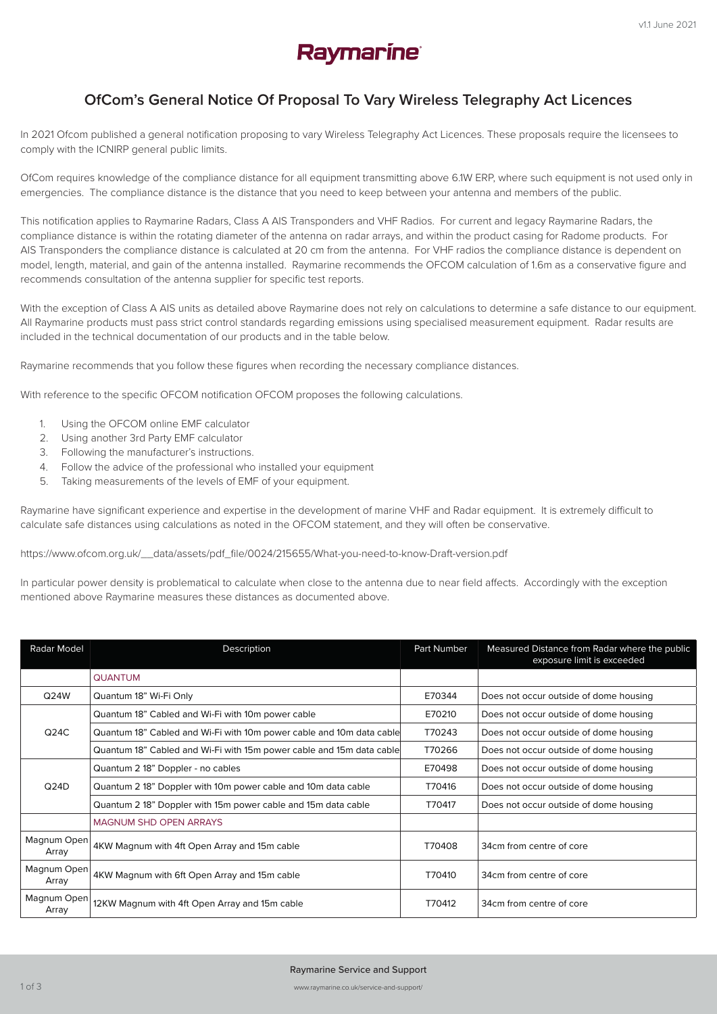

## **OfCom's General Notice Of Proposal To Vary Wireless Telegraphy Act Licences**

In 2021 Ofcom published a general notification proposing to vary Wireless Telegraphy Act Licences. These proposals require the licensees to comply with the ICNIRP general public limits.

OfCom requires knowledge of the compliance distance for all equipment transmitting above 6.1W ERP, where such equipment is not used only in emergencies. The compliance distance is the distance that you need to keep between your antenna and members of the public.

This notification applies to Raymarine Radars, Class A AIS Transponders and VHF Radios. For current and legacy Raymarine Radars, the compliance distance is within the rotating diameter of the antenna on radar arrays, and within the product casing for Radome products. For AIS Transponders the compliance distance is calculated at 20 cm from the antenna. For VHF radios the compliance distance is dependent on model, length, material, and gain of the antenna installed. Raymarine recommends the OFCOM calculation of 1.6m as a conservative figure and recommends consultation of the antenna supplier for specific test reports.

With the exception of Class A AIS units as detailed above Raymarine does not rely on calculations to determine a safe distance to our equipment. All Raymarine products must pass strict control standards regarding emissions using specialised measurement equipment. Radar results are included in the technical documentation of our products and in the table below.

Raymarine recommends that you follow these figures when recording the necessary compliance distances.

With reference to the specific OFCOM notification OFCOM proposes the following calculations.

- 1. Using the OFCOM online EMF calculator
- 2. Using another 3rd Party EMF calculator
- 3. Following the manufacturer's instructions.
- 4. Follow the advice of the professional who installed your equipment
- 5. Taking measurements of the levels of EMF of your equipment.

Raymarine have significant experience and expertise in the development of marine VHF and Radar equipment. It is extremely difficult to calculate safe distances using calculations as noted in the OFCOM statement, and they will often be conservative.

https://www.ofcom.org.uk/\_\_data/assets/pdf\_file/0024/215655/What-you-need-to-know-Draft-version.pdf

In particular power density is problematical to calculate when close to the antenna due to near field affects. Accordingly with the exception mentioned above Raymarine measures these distances as documented above.

| Radar Model          | Description                                                          | Part Number | Measured Distance from Radar where the public<br>exposure limit is exceeded |
|----------------------|----------------------------------------------------------------------|-------------|-----------------------------------------------------------------------------|
|                      | <b>QUANTUM</b>                                                       |             |                                                                             |
| Q24W                 | Quantum 18" Wi-Fi Only                                               | E70344      | Does not occur outside of dome housing                                      |
| Q24C                 | Quantum 18" Cabled and Wi-Fi with 10m power cable                    | E70210      | Does not occur outside of dome housing                                      |
|                      | Quantum 18" Cabled and Wi-Fi with 10m power cable and 10m data cable | T70243      | Does not occur outside of dome housing                                      |
|                      | Quantum 18" Cabled and Wi-Fi with 15m power cable and 15m data cable | T70266      | Does not occur outside of dome housing                                      |
| Q24D                 | Quantum 2 18" Doppler - no cables                                    | E70498      | Does not occur outside of dome housing                                      |
|                      | Quantum 2 18" Doppler with 10m power cable and 10m data cable        | T70416      | Does not occur outside of dome housing                                      |
|                      | Quantum 2 18" Doppler with 15m power cable and 15m data cable        | T70417      | Does not occur outside of dome housing                                      |
|                      | <b>MAGNUM SHD OPEN ARRAYS</b>                                        |             |                                                                             |
| Magnum Open<br>Array | 4KW Magnum with 4ft Open Array and 15m cable                         | T70408      | 34cm from centre of core                                                    |
| Magnum Open<br>Array | 4KW Magnum with 6ft Open Array and 15m cable                         | T70410      | 34cm from centre of core                                                    |
| Magnum Open<br>Array | 12KW Magnum with 4ft Open Array and 15m cable                        | T70412      | 34cm from centre of core                                                    |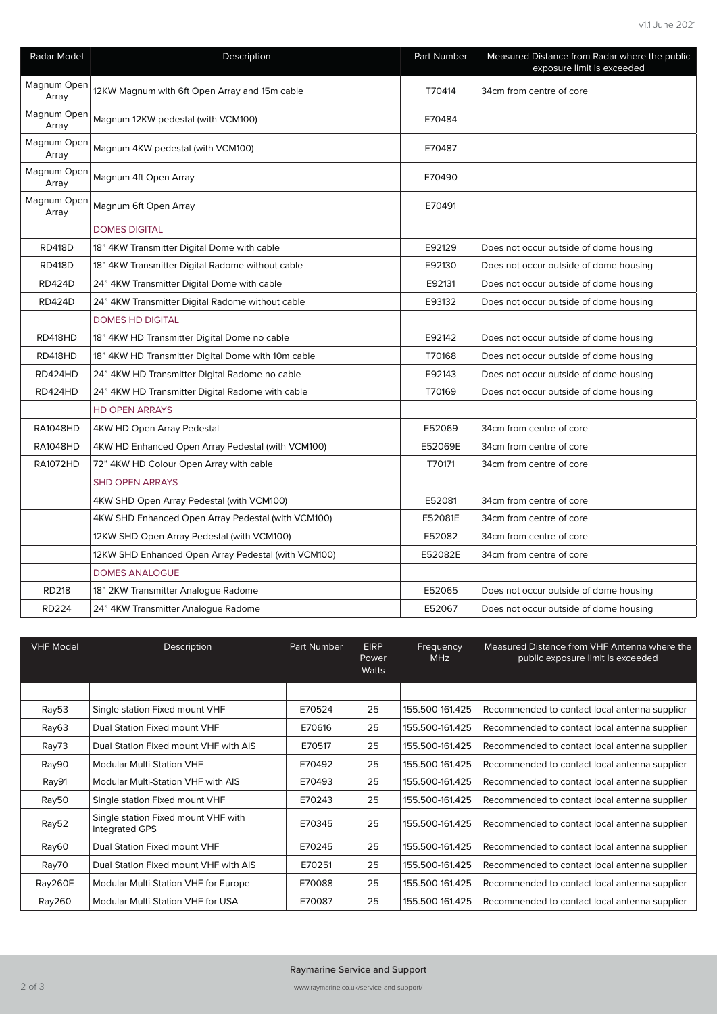| Radar Model          | Description                                         | Part Number | Measured Distance from Radar where the public<br>exposure limit is exceeded |
|----------------------|-----------------------------------------------------|-------------|-----------------------------------------------------------------------------|
| Magnum Open<br>Array | 12KW Magnum with 6ft Open Array and 15m cable       | T70414      | 34cm from centre of core                                                    |
| Magnum Open<br>Array | Magnum 12KW pedestal (with VCM100)                  | E70484      |                                                                             |
| Magnum Open<br>Array | Magnum 4KW pedestal (with VCM100)                   | E70487      |                                                                             |
| Magnum Open<br>Array | Magnum 4ft Open Array                               | E70490      |                                                                             |
| Magnum Open<br>Array | Magnum 6ft Open Array                               | E70491      |                                                                             |
|                      | <b>DOMES DIGITAL</b>                                |             |                                                                             |
| <b>RD418D</b>        | 18" 4KW Transmitter Digital Dome with cable         | E92129      | Does not occur outside of dome housing                                      |
| <b>RD418D</b>        | 18" 4KW Transmitter Digital Radome without cable    | E92130      | Does not occur outside of dome housing                                      |
| <b>RD424D</b>        | 24" 4KW Transmitter Digital Dome with cable         | E92131      | Does not occur outside of dome housing                                      |
| <b>RD424D</b>        | 24" 4KW Transmitter Digital Radome without cable    | E93132      | Does not occur outside of dome housing                                      |
|                      | <b>DOMES HD DIGITAL</b>                             |             |                                                                             |
| RD418HD              | 18" 4KW HD Transmitter Digital Dome no cable        | E92142      | Does not occur outside of dome housing                                      |
| RD418HD              | 18" 4KW HD Transmitter Digital Dome with 10m cable  | T70168      | Does not occur outside of dome housing                                      |
| RD424HD              | 24" 4KW HD Transmitter Digital Radome no cable      | E92143      | Does not occur outside of dome housing                                      |
| RD424HD              | 24" 4KW HD Transmitter Digital Radome with cable    | T70169      | Does not occur outside of dome housing                                      |
|                      | <b>HD OPEN ARRAYS</b>                               |             |                                                                             |
| <b>RA1048HD</b>      | 4KW HD Open Array Pedestal                          | E52069      | 34cm from centre of core                                                    |
| <b>RA1048HD</b>      | 4KW HD Enhanced Open Array Pedestal (with VCM100)   | E52069E     | 34cm from centre of core                                                    |
| <b>RA1072HD</b>      | 72" 4KW HD Colour Open Array with cable             | T70171      | 34cm from centre of core                                                    |
|                      | <b>SHD OPEN ARRAYS</b>                              |             |                                                                             |
|                      | 4KW SHD Open Array Pedestal (with VCM100)           | E52081      | 34cm from centre of core                                                    |
|                      | 4KW SHD Enhanced Open Array Pedestal (with VCM100)  | E52081E     | 34cm from centre of core                                                    |
|                      | 12KW SHD Open Array Pedestal (with VCM100)          | E52082      | 34cm from centre of core                                                    |
|                      | 12KW SHD Enhanced Open Array Pedestal (with VCM100) | E52082E     | 34cm from centre of core                                                    |
|                      | <b>DOMES ANALOGUE</b>                               |             |                                                                             |
| <b>RD218</b>         | 18" 2KW Transmitter Analogue Radome                 | E52065      | Does not occur outside of dome housing                                      |
| <b>RD224</b>         | 24" 4KW Transmitter Analogue Radome                 | E52067      | Does not occur outside of dome housing                                      |

| <b>VHF Model</b> | Description                                           | Part Number | <b>EIRP</b><br>Power<br><b>Watts</b> | Frequency<br><b>MHz</b> | Measured Distance from VHF Antenna where the<br>public exposure limit is exceeded |
|------------------|-------------------------------------------------------|-------------|--------------------------------------|-------------------------|-----------------------------------------------------------------------------------|
|                  |                                                       |             |                                      |                         |                                                                                   |
| Ray53            | Single station Fixed mount VHF                        | E70524      | 25                                   | 155.500-161.425         | Recommended to contact local antenna supplier                                     |
| Ray63            | Dual Station Fixed mount VHF                          | E70616      | 25                                   | 155.500-161.425         | Recommended to contact local antenna supplier                                     |
| Ray73            | Dual Station Fixed mount VHF with AIS                 | E70517      | 25                                   | 155.500-161.425         | Recommended to contact local antenna supplier                                     |
| Ray90            | <b>Modular Multi-Station VHF</b>                      | E70492      | 25                                   | 155.500-161.425         | Recommended to contact local antenna supplier                                     |
| Ray91            | Modular Multi-Station VHF with AIS                    | E70493      | 25                                   | 155.500-161.425         | Recommended to contact local antenna supplier                                     |
| Ray50            | Single station Fixed mount VHF                        | E70243      | 25                                   | 155.500-161.425         | Recommended to contact local antenna supplier                                     |
| Ray52            | Single station Fixed mount VHF with<br>integrated GPS | E70345      | 25                                   | 155.500-161.425         | Recommended to contact local antenna supplier                                     |
| Ray60            | Dual Station Fixed mount VHF                          | E70245      | 25                                   | 155.500-161.425         | Recommended to contact local antenna supplier                                     |
| Ray70            | Dual Station Fixed mount VHF with AIS                 | E70251      | 25                                   | 155.500-161.425         | Recommended to contact local antenna supplier                                     |
| Ray260E          | Modular Multi-Station VHF for Europe                  | E70088      | 25                                   | 155.500-161.425         | Recommended to contact local antenna supplier                                     |
| Ray260           | Modular Multi-Station VHF for USA                     | E70087      | 25                                   | 155.500-161.425         | Recommended to contact local antenna supplier                                     |